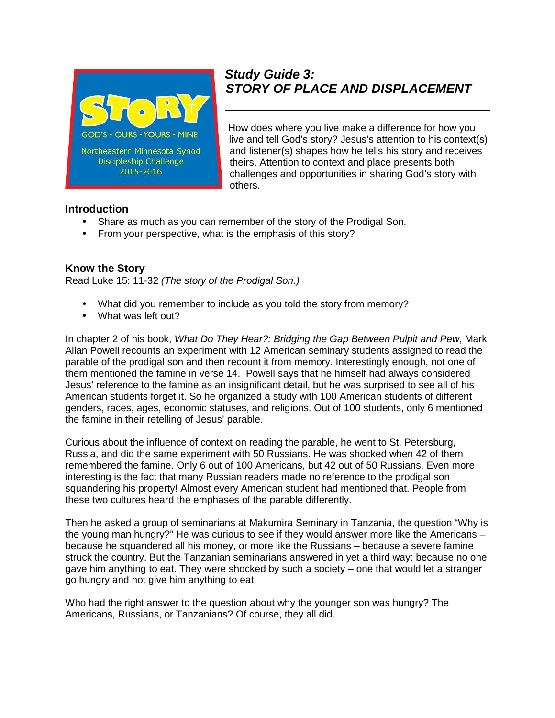

# *Study Guide 3: STORY OF PLACE AND DISPLACEMENT*

How does where you live make a difference for how you live and tell God's story? Jesus's attention to his context(s) and listener(s) shapes how he tells his story and receives theirs. Attention to context and place presents both challenges and opportunities in sharing God's story with others.

#### **Introduction**

- Share as much as you can remember of the story of the Prodigal Son.
- From your perspective, what is the emphasis of this story?

## **Know the Story**

Read Luke 15: 11-32 *(The story of the Prodigal Son.)*

- What did you remember to include as you told the story from memory?
- What was left out?

In chapter 2 of his book, *What Do They Hear?: Bridging the Gap Between Pulpit and Pew*, Mark Allan Powell recounts an experiment with 12 American seminary students assigned to read the parable of the prodigal son and then recount it from memory. Interestingly enough, not one of them mentioned the famine in verse 14. Powell says that he himself had always considered Jesus' reference to the famine as an insignificant detail, but he was surprised to see all of his American students forget it. So he organized a study with 100 American students of different genders, races, ages, economic statuses, and religions. Out of 100 students, only 6 mentioned the famine in their retelling of Jesus' parable.

Curious about the influence of context on reading the parable, he went to St. Petersburg, Russia, and did the same experiment with 50 Russians. He was shocked when 42 of them remembered the famine. Only 6 out of 100 Americans, but 42 out of 50 Russians. Even more interesting is the fact that many Russian readers made no reference to the prodigal son squandering his property! Almost every American student had mentioned that. People from these two cultures heard the emphases of the parable differently.

Then he asked a group of seminarians at Makumira Seminary in Tanzania, the question "Why is the young man hungry?" He was curious to see if they would answer more like the Americans – because he squandered all his money, or more like the Russians – because a severe famine struck the country. But the Tanzanian seminarians answered in yet a third way: because no one gave him anything to eat. They were shocked by such a society – one that would let a stranger go hungry and not give him anything to eat.

Who had the right answer to the question about why the younger son was hungry? The Americans, Russians, or Tanzanians? Of course, they all did.